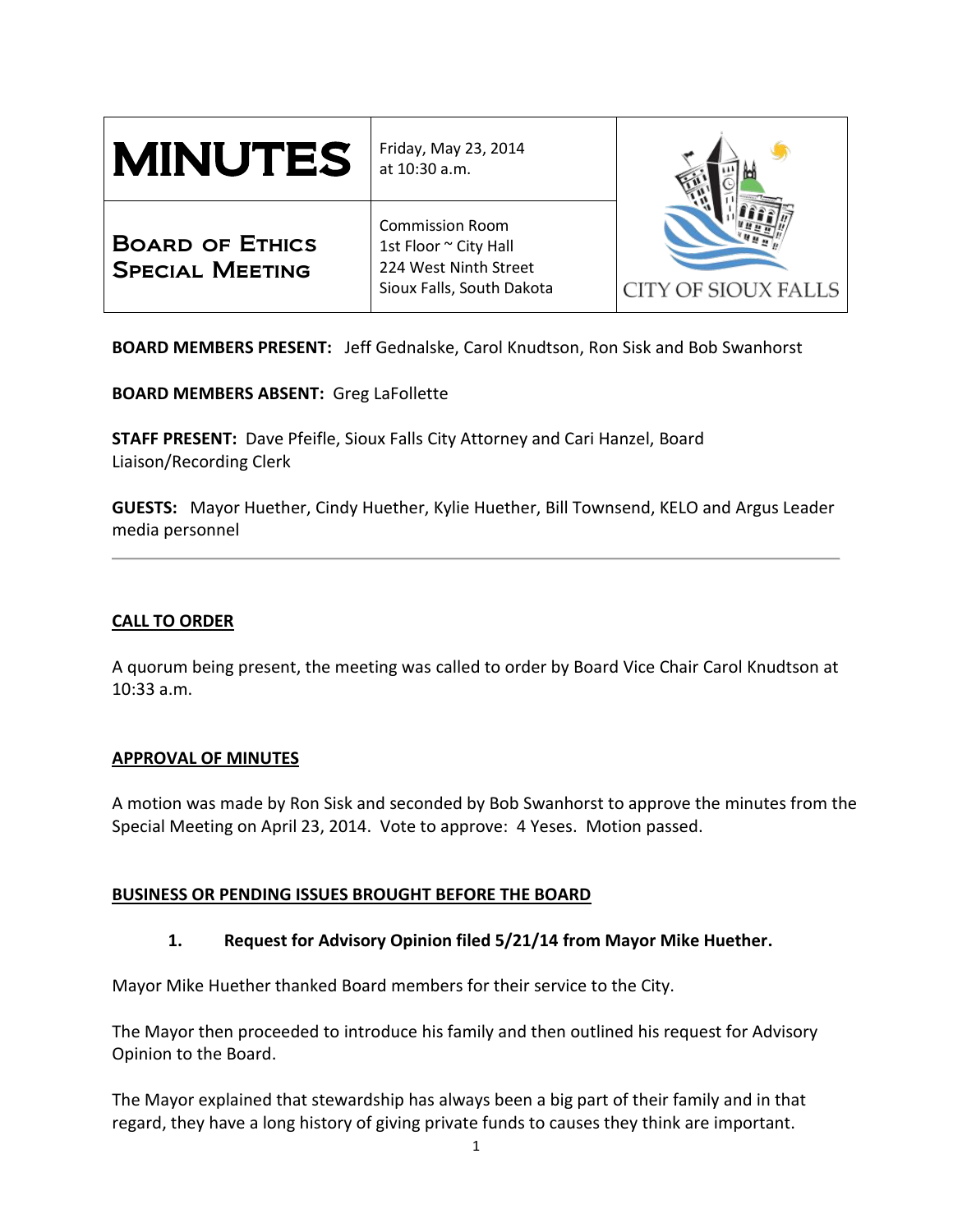| <b>MINUTES</b>                                   | Friday, May 23, 2014<br>at 10:30 a.m.                                                                 | CITY OF SIOUX FALLS |
|--------------------------------------------------|-------------------------------------------------------------------------------------------------------|---------------------|
| <b>BOARD OF ETHICS</b><br><b>SPECIAL MEETING</b> | <b>Commission Room</b><br>1st Floor ~ City Hall<br>224 West Ninth Street<br>Sioux Falls, South Dakota |                     |

**BOARD MEMBERS PRESENT:** Jeff Gednalske, Carol Knudtson, Ron Sisk and Bob Swanhorst

**BOARD MEMBERS ABSENT:** Greg LaFollette

**STAFF PRESENT:** Dave Pfeifle, Sioux Falls City Attorney and Cari Hanzel, Board Liaison/Recording Clerk

**GUESTS:** Mayor Huether, Cindy Huether, Kylie Huether, Bill Townsend, KELO and Argus Leader media personnel

# **CALL TO ORDER**

A quorum being present, the meeting was called to order by Board Vice Chair Carol Knudtson at 10:33 a.m.

# **APPROVAL OF MINUTES**

A motion was made by Ron Sisk and seconded by Bob Swanhorst to approve the minutes from the Special Meeting on April 23, 2014. Vote to approve: 4 Yeses. Motion passed.

# **BUSINESS OR PENDING ISSUES BROUGHT BEFORE THE BOARD**

# **1. Request for Advisory Opinion filed 5/21/14 from Mayor Mike Huether.**

Mayor Mike Huether thanked Board members for their service to the City.

The Mayor then proceeded to introduce his family and then outlined his request for Advisory Opinion to the Board.

The Mayor explained that stewardship has always been a big part of their family and in that regard, they have a long history of giving private funds to causes they think are important.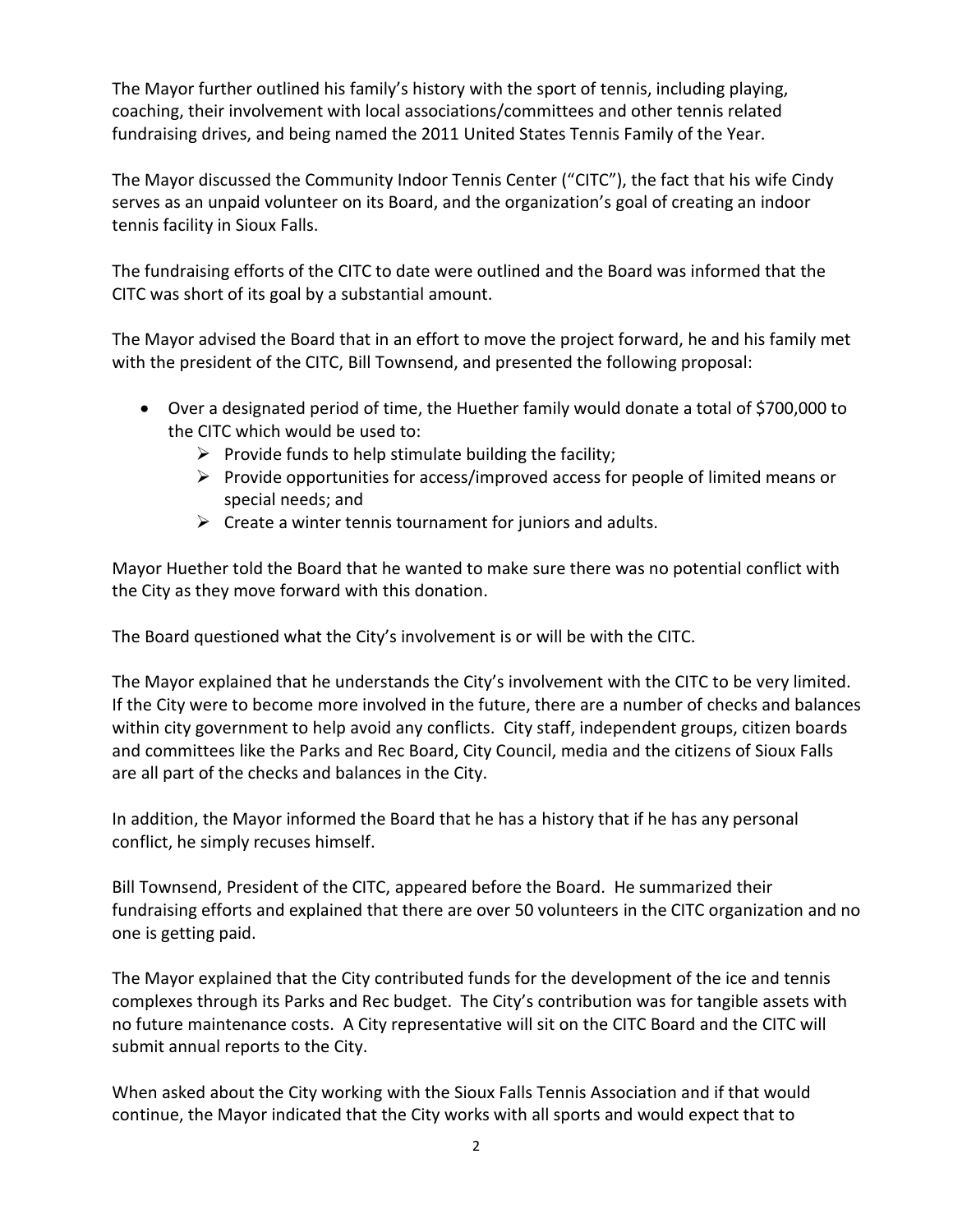The Mayor further outlined his family's history with the sport of tennis, including playing, coaching, their involvement with local associations/committees and other tennis related fundraising drives, and being named the 2011 United States Tennis Family of the Year.

The Mayor discussed the Community Indoor Tennis Center ("CITC"), the fact that his wife Cindy serves as an unpaid volunteer on its Board, and the organization's goal of creating an indoor tennis facility in Sioux Falls.

The fundraising efforts of the CITC to date were outlined and the Board was informed that the CITC was short of its goal by a substantial amount.

The Mayor advised the Board that in an effort to move the project forward, he and his family met with the president of the CITC, Bill Townsend, and presented the following proposal:

- Over a designated period of time, the Huether family would donate a total of \$700,000 to the CITC which would be used to:
	- $\triangleright$  Provide funds to help stimulate building the facility;
	- $\triangleright$  Provide opportunities for access/improved access for people of limited means or special needs; and
	- $\triangleright$  Create a winter tennis tournament for juniors and adults.

Mayor Huether told the Board that he wanted to make sure there was no potential conflict with the City as they move forward with this donation.

The Board questioned what the City's involvement is or will be with the CITC.

The Mayor explained that he understands the City's involvement with the CITC to be very limited. If the City were to become more involved in the future, there are a number of checks and balances within city government to help avoid any conflicts. City staff, independent groups, citizen boards and committees like the Parks and Rec Board, City Council, media and the citizens of Sioux Falls are all part of the checks and balances in the City.

In addition, the Mayor informed the Board that he has a history that if he has any personal conflict, he simply recuses himself.

Bill Townsend, President of the CITC, appeared before the Board. He summarized their fundraising efforts and explained that there are over 50 volunteers in the CITC organization and no one is getting paid.

The Mayor explained that the City contributed funds for the development of the ice and tennis complexes through its Parks and Rec budget. The City's contribution was for tangible assets with no future maintenance costs. A City representative will sit on the CITC Board and the CITC will submit annual reports to the City.

When asked about the City working with the Sioux Falls Tennis Association and if that would continue, the Mayor indicated that the City works with all sports and would expect that to